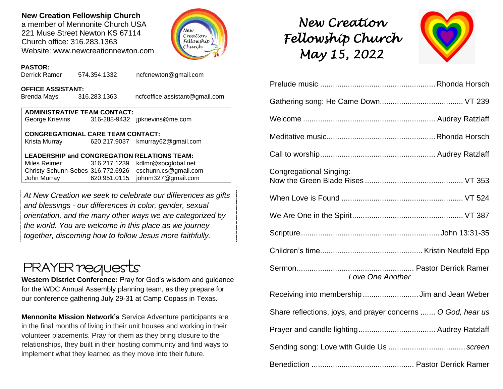## **New Creation Fellowship Church**

a member of Mennonite Church USA 221 Muse Street Newton KS 67114 Church office: 316.283.1363 Website: www.newcreationnewton.com



## *New Creation Fellowship Church May 15, 2022*



| Congregational Singing:                                      |
|--------------------------------------------------------------|
|                                                              |
|                                                              |
|                                                              |
|                                                              |
| Love One Another                                             |
| Receiving into membership  Jim and Jean Weber                |
| Share reflections, joys, and prayer concerns  O God, hear us |
|                                                              |
|                                                              |
|                                                              |

### **PASTOR:**

Derrick Ramer 574.354.1332 [ncfcnewton@gmail.com](mailto:ncfcnewton@gmail.com)

#### **OFFICE ASSISTANT:**

Brenda Mays 316.283.1363 ncfcoffice.assistant@gmail.com

| <b>ADMINISTRATIVE TEAM CONTACT:</b> |  |                                |  |  |  |
|-------------------------------------|--|--------------------------------|--|--|--|
| George Krievins                     |  | 316-288-9432 jpkrievins@me.com |  |  |  |

#### **CONGREGATIONAL CARE TEAM CONTACT:**

Krista Murray 620.217.9037 [kmurray62@gmail.com](mailto:kmurray62@gmail.com)

#### **LEADERSHIP and CONGREGATION RELATIONS TEAM:**

Miles Reimer [316.217.1239](mailto:316.217.1239) kdlmr@sbcglobal.net Christy Schunn-Sebes 316.772.6926 cschunn.cs@gmail.com John Murray 620.951.0115 johnm327@gmail.com

*At New Creation we seek to celebrate our differences as gifts and blessings - our differences in color, gender, sexual orientation, and the many other ways we are categorized by the world. You are welcome in this place as we journey together, discerning how to follow Jesus more faithfully.*

# **PRAYER requests**

**Western District Conference:** Pray for God's wisdom and guidance for the WDC Annual Assembly planning team, as they prepare for our conference gathering July 29-31 at Camp Copass in Texas.

**Mennonite Mission Network's** Service Adventure participants are in the final months of living in their unit houses and working in their volunteer placements. Pray for them as they bring closure to the relationships, they built in their hosting community and find ways to implement what they learned as they move into their future.